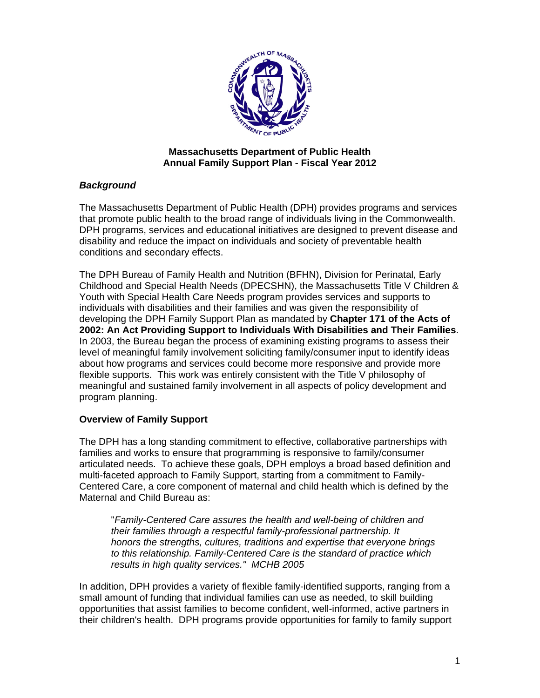

## **Massachusetts Department of Public Health Annual Family Support Plan - Fiscal Year 2012**

## *Background*

The Massachusetts Department of Public Health (DPH) provides programs and services that promote public health to the broad range of individuals living in the Commonwealth. DPH programs, services and educational initiatives are designed to prevent disease and disability and reduce the impact on individuals and society of preventable health conditions and secondary effects.

The DPH Bureau of Family Health and Nutrition (BFHN), Division for Perinatal, Early Childhood and Special Health Needs (DPECSHN), the Massachusetts Title V Children & Youth with Special Health Care Needs program provides services and supports to individuals with disabilities and their families and was given the responsibility of developing the DPH Family Support Plan as mandated by **Chapter 171 of the Acts of 2002: An Act Providing Support to Individuals With Disabilities and Their Families**. In 2003, the Bureau began the process of examining existing programs to assess their level of meaningful family involvement soliciting family/consumer input to identify ideas about how programs and services could become more responsive and provide more flexible supports. This work was entirely consistent with the Title V philosophy of meaningful and sustained family involvement in all aspects of policy development and program planning.

# **Overview of Family Support**

The DPH has a long standing commitment to effective, collaborative partnerships with families and works to ensure that programming is responsive to family/consumer articulated needs. To achieve these goals, DPH employs a broad based definition and multi-faceted approach to Family Support, starting from a commitment to Family-Centered Care, a core component of maternal and child health which is defined by the Maternal and Child Bureau as:

 "*Family-Centered Care assures the health and well-being of children and their families through a respectful family-professional partnership. It honors the strengths, cultures, traditions and expertise that everyone brings to this relationship. Family-Centered Care is the standard of practice which results in high quality services." MCHB 2005* 

In addition, DPH provides a variety of flexible family-identified supports, ranging from a small amount of funding that individual families can use as needed, to skill building opportunities that assist families to become confident, well-informed, active partners in their children's health. DPH programs provide opportunities for family to family support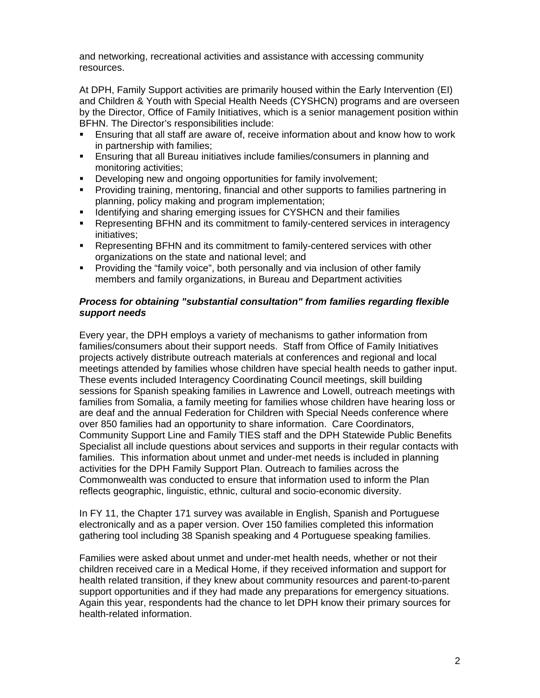and networking, recreational activities and assistance with accessing community resources.

At DPH, Family Support activities are primarily housed within the Early Intervention (EI) and Children & Youth with Special Health Needs (CYSHCN) programs and are overseen by the Director, Office of Family Initiatives, which is a senior management position within BFHN. The Director's responsibilities include:

- Ensuring that all staff are aware of, receive information about and know how to work in partnership with families;
- Ensuring that all Bureau initiatives include families/consumers in planning and monitoring activities;
- Developing new and ongoing opportunities for family involvement;
- Providing training, mentoring, financial and other supports to families partnering in planning, policy making and program implementation;
- **IDED IS A THE IDEOT IS A THE ISSUM ISSUES** for CYSHCN and their families
- Representing BFHN and its commitment to family-centered services in interagency initiatives;
- Representing BFHN and its commitment to family-centered services with other organizations on the state and national level; and
- Providing the "family voice", both personally and via inclusion of other family members and family organizations, in Bureau and Department activities

### *Process for obtaining "substantial consultation" from families regarding flexible support needs*

Every year, the DPH employs a variety of mechanisms to gather information from families/consumers about their support needs. Staff from Office of Family Initiatives projects actively distribute outreach materials at conferences and regional and local meetings attended by families whose children have special health needs to gather input. These events included Interagency Coordinating Council meetings, skill building sessions for Spanish speaking families in Lawrence and Lowell, outreach meetings with families from Somalia, a family meeting for families whose children have hearing loss or are deaf and the annual Federation for Children with Special Needs conference where over 850 families had an opportunity to share information. Care Coordinators, Community Support Line and Family TIES staff and the DPH Statewide Public Benefits Specialist all include questions about services and supports in their regular contacts with families. This information about unmet and under-met needs is included in planning activities for the DPH Family Support Plan. Outreach to families across the Commonwealth was conducted to ensure that information used to inform the Plan reflects geographic, linguistic, ethnic, cultural and socio-economic diversity.

In FY 11, the Chapter 171 survey was available in English, Spanish and Portuguese electronically and as a paper version. Over 150 families completed this information gathering tool including 38 Spanish speaking and 4 Portuguese speaking families.

Families were asked about unmet and under-met health needs, whether or not their children received care in a Medical Home, if they received information and support for health related transition, if they knew about community resources and parent-to-parent support opportunities and if they had made any preparations for emergency situations. Again this year, respondents had the chance to let DPH know their primary sources for health-related information.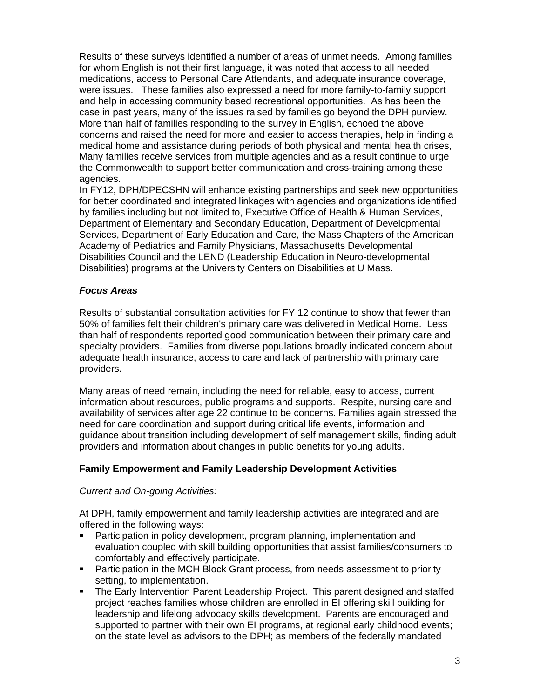Results of these surveys identified a number of areas of unmet needs. Among families for whom English is not their first language, it was noted that access to all needed medications, access to Personal Care Attendants, and adequate insurance coverage, were issues. These families also expressed a need for more family-to-family support and help in accessing community based recreational opportunities. As has been the case in past years, many of the issues raised by families go beyond the DPH purview. More than half of families responding to the survey in English, echoed the above concerns and raised the need for more and easier to access therapies, help in finding a medical home and assistance during periods of both physical and mental health crises, Many families receive services from multiple agencies and as a result continue to urge the Commonwealth to support better communication and cross-training among these agencies.

In FY12, DPH/DPECSHN will enhance existing partnerships and seek new opportunities for better coordinated and integrated linkages with agencies and organizations identified by families including but not limited to, Executive Office of Health & Human Services, Department of Elementary and Secondary Education, Department of Developmental Services, Department of Early Education and Care, the Mass Chapters of the American Academy of Pediatrics and Family Physicians, Massachusetts Developmental Disabilities Council and the LEND (Leadership Education in Neuro-developmental Disabilities) programs at the University Centers on Disabilities at U Mass.

## *Focus Areas*

Results of substantial consultation activities for FY 12 continue to show that fewer than 50% of families felt their children's primary care was delivered in Medical Home. Less than half of respondents reported good communication between their primary care and specialty providers. Families from diverse populations broadly indicated concern about adequate health insurance, access to care and lack of partnership with primary care providers.

Many areas of need remain, including the need for reliable, easy to access, current information about resources, public programs and supports. Respite, nursing care and availability of services after age 22 continue to be concerns. Families again stressed the need for care coordination and support during critical life events, information and guidance about transition including development of self management skills, finding adult providers and information about changes in public benefits for young adults.

## **Family Empowerment and Family Leadership Development Activities**

## *Current and On-going Activities:*

At DPH, family empowerment and family leadership activities are integrated and are offered in the following ways:

- Participation in policy development, program planning, implementation and evaluation coupled with skill building opportunities that assist families/consumers to comfortably and effectively participate.
- Participation in the MCH Block Grant process, from needs assessment to priority setting, to implementation.
- **The Early Intervention Parent Leadership Project. This parent designed and staffed** project reaches families whose children are enrolled in EI offering skill building for leadership and lifelong advocacy skills development. Parents are encouraged and supported to partner with their own EI programs, at regional early childhood events; on the state level as advisors to the DPH; as members of the federally mandated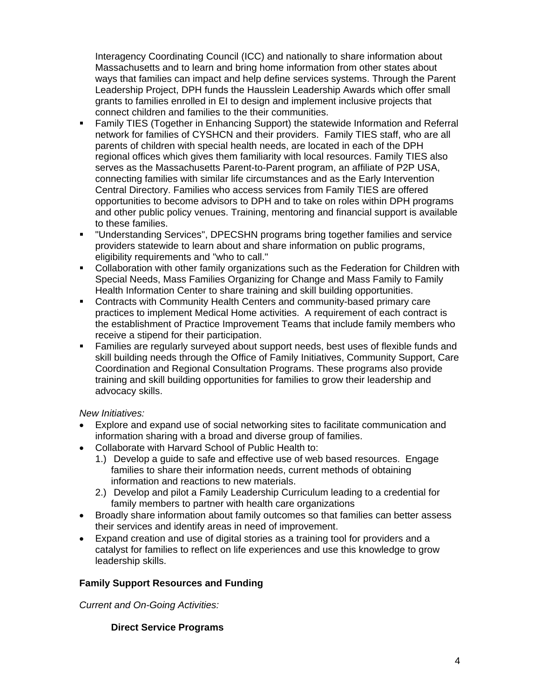Interagency Coordinating Council (ICC) and nationally to share information about Massachusetts and to learn and bring home information from other states about ways that families can impact and help define services systems. Through the Parent Leadership Project, DPH funds the Hausslein Leadership Awards which offer small grants to families enrolled in EI to design and implement inclusive projects that connect children and families to the their communities.

- Family TIES (Together in Enhancing Support) the statewide Information and Referral network for families of CYSHCN and their providers. Family TIES staff, who are all parents of children with special health needs, are located in each of the DPH regional offices which gives them familiarity with local resources. Family TIES also serves as the Massachusetts Parent-to-Parent program, an affiliate of P2P USA, connecting families with similar life circumstances and as the Early Intervention Central Directory. Families who access services from Family TIES are offered opportunities to become advisors to DPH and to take on roles within DPH programs and other public policy venues. Training, mentoring and financial support is available to these families.
- "Understanding Services", DPECSHN programs bring together families and service providers statewide to learn about and share information on public programs, eligibility requirements and "who to call."
- Collaboration with other family organizations such as the Federation for Children with Special Needs, Mass Families Organizing for Change and Mass Family to Family Health Information Center to share training and skill building opportunities.
- Contracts with Community Health Centers and community-based primary care practices to implement Medical Home activities. A requirement of each contract is the establishment of Practice Improvement Teams that include family members who receive a stipend for their participation.
- Families are regularly surveyed about support needs, best uses of flexible funds and skill building needs through the Office of Family Initiatives, Community Support, Care Coordination and Regional Consultation Programs. These programs also provide training and skill building opportunities for families to grow their leadership and advocacy skills.

## *New Initiatives:*

- Explore and expand use of social networking sites to facilitate communication and information sharing with a broad and diverse group of families.
- Collaborate with Harvard School of Public Health to:
	- 1.) Develop a guide to safe and effective use of web based resources. Engage families to share their information needs, current methods of obtaining information and reactions to new materials.
	- 2.) Develop and pilot a Family Leadership Curriculum leading to a credential for family members to partner with health care organizations
- Broadly share information about family outcomes so that families can better assess their services and identify areas in need of improvement.
- Expand creation and use of digital stories as a training tool for providers and a catalyst for families to reflect on life experiences and use this knowledge to grow leadership skills.

## **Family Support Resources and Funding**

*Current and On-Going Activities:* 

## **Direct Service Programs**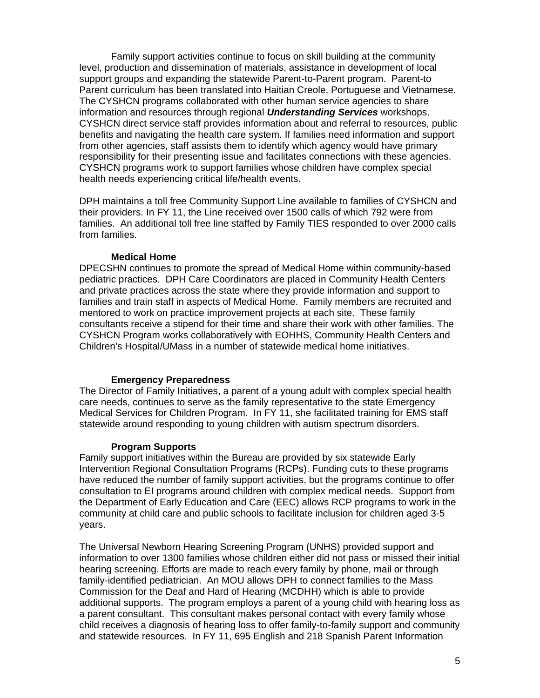Family support activities continue to focus on skill building at the community level, production and dissemination of materials, assistance in development of local support groups and expanding the statewide Parent-to-Parent program. Parent-to Parent curriculum has been translated into Haitian Creole, Portuguese and Vietnamese. The CYSHCN programs collaborated with other human service agencies to share information and resources through regional *Understanding Services* workshops. CYSHCN direct service staff provides information about and referral to resources, public benefits and navigating the health care system. If families need information and support from other agencies, staff assists them to identify which agency would have primary responsibility for their presenting issue and facilitates connections with these agencies. CYSHCN programs work to support families whose children have complex special health needs experiencing critical life/health events.

DPH maintains a toll free Community Support Line available to families of CYSHCN and their providers. In FY 11, the Line received over 1500 calls of which 792 were from families. An additional toll free line staffed by Family TIES responded to over 2000 calls from families.

#### **Medical Home**

DPECSHN continues to promote the spread of Medical Home within community-based pediatric practices. DPH Care Coordinators are placed in Community Health Centers and private practices across the state where they provide information and support to families and train staff in aspects of Medical Home. Family members are recruited and mentored to work on practice improvement projects at each site. These family consultants receive a stipend for their time and share their work with other families. The CYSHCN Program works collaboratively with EOHHS, Community Health Centers and Children's Hospital/UMass in a number of statewide medical home initiatives.

#### **Emergency Preparedness**

The Director of Family Initiatives, a parent of a young adult with complex special health care needs, continues to serve as the family representative to the state Emergency Medical Services for Children Program. In FY 11, she facilitated training for EMS staff statewide around responding to young children with autism spectrum disorders.

#### **Program Supports**

Family support initiatives within the Bureau are provided by six statewide Early Intervention Regional Consultation Programs (RCPs). Funding cuts to these programs have reduced the number of family support activities, but the programs continue to offer consultation to EI programs around children with complex medical needs. Support from the Department of Early Education and Care (EEC) allows RCP programs to work in the community at child care and public schools to facilitate inclusion for children aged 3-5 years.

The Universal Newborn Hearing Screening Program (UNHS) provided support and information to over 1300 families whose children either did not pass or missed their initial hearing screening. Efforts are made to reach every family by phone, mail or through family-identified pediatrician. An MOU allows DPH to connect families to the Mass Commission for the Deaf and Hard of Hearing (MCDHH) which is able to provide additional supports. The program employs a parent of a young child with hearing loss as a parent consultant. This consultant makes personal contact with every family whose child receives a diagnosis of hearing loss to offer family-to-family support and community and statewide resources. In FY 11, 695 English and 218 Spanish Parent Information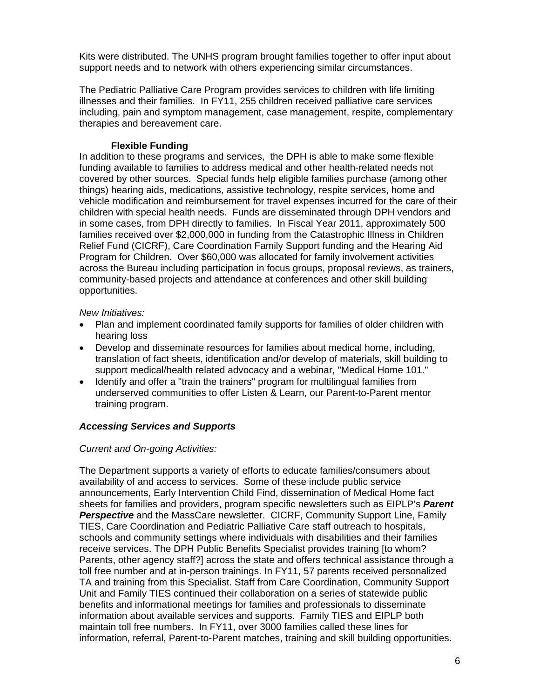Kits were distributed. The UNHS program brought families together to offer input about support needs and to network with others experiencing similar circumstances.

The Pediatric Palliative Care Program provides services to children with life limiting illnesses and their families. In FY11, 255 children received palliative care services including, pain and symptom management, case management, respite, complementary therapies and bereavement care.

## **Flexible Funding**

In addition to these programs and services, the DPH is able to make some flexible funding available to families to address medical and other health-related needs not covered by other sources. Special funds help eligible families purchase (among other things) hearing aids, medications, assistive technology, respite services, home and vehicle modification and reimbursement for travel expenses incurred for the care of their children with special health needs. Funds are disseminated through DPH vendors and in some cases, from DPH directly to families. In Fiscal Year 2011, approximately 500 families received over \$2,000,000 in funding from the Catastrophic Illness in Children Relief Fund (CICRF), Care Coordination Family Support funding and the Hearing Aid Program for Children. Over \$60,000 was allocated for family involvement activities across the Bureau including participation in focus groups, proposal reviews, as trainers, community-based projects and attendance at conferences and other skill building opportunities.

## *New Initiatives:*

- Plan and implement coordinated family supports for families of older children with hearing loss
- Develop and disseminate resources for families about medical home, including, translation of fact sheets, identification and/or develop of materials, skill building to support medical/health related advocacy and a webinar, "Medical Home 101."
- Identify and offer a "train the trainers" program for multilingual families from underserved communities to offer Listen & Learn, our Parent-to-Parent mentor training program.

## *Accessing Services and Supports*

## *Current and On-going Activities:*

The Department supports a variety of efforts to educate families/consumers about availability of and access to services. Some of these include public service announcements, Early Intervention Child Find, dissemination of Medical Home fact sheets for families and providers, program specific newsletters such as EIPLP's *Parent Perspective* and the MassCare newsletter. CICRF, Community Support Line, Family TIES, Care Coordination and Pediatric Palliative Care staff outreach to hospitals, schools and community settings where individuals with disabilities and their families receive services. The DPH Public Benefits Specialist provides training [to whom? Parents, other agency staff?] across the state and offers technical assistance through a toll free number and at in-person trainings. In FY11, 57 parents received personalized TA and training from this Specialist. Staff from Care Coordination, Community Support Unit and Family TIES continued their collaboration on a series of statewide public benefits and informational meetings for families and professionals to disseminate information about available services and supports. Family TIES and EIPLP both maintain toll free numbers. In FY11, over 3000 families called these lines for information, referral, Parent-to-Parent matches, training and skill building opportunities.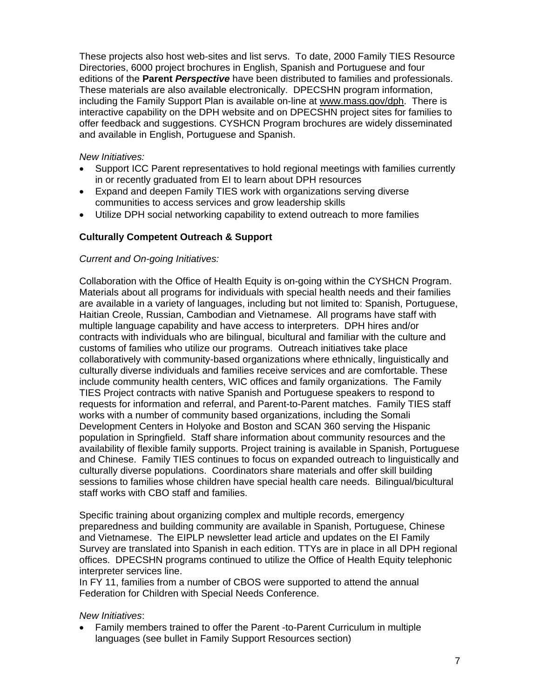These projects also host web-sites and list servs. To date, 2000 Family TIES Resource Directories, 6000 project brochures in English, Spanish and Portuguese and four editions of the **Parent** *Perspective* have been distributed to families and professionals. These materials are also available electronically. DPECSHN program information, including the Family Support Plan is available on-line at www.mass.gov/dph. There is interactive capability on the DPH website and on DPECSHN project sites for families to offer feedback and suggestions. CYSHCN Program brochures are widely disseminated and available in English, Portuguese and Spanish.

### *New Initiatives:*

- Support ICC Parent representatives to hold regional meetings with families currently in or recently graduated from EI to learn about DPH resources
- Expand and deepen Family TIES work with organizations serving diverse communities to access services and grow leadership skills
- Utilize DPH social networking capability to extend outreach to more families

## **Culturally Competent Outreach & Support**

#### *Current and On-going Initiatives:*

Collaboration with the Office of Health Equity is on-going within the CYSHCN Program. Materials about all programs for individuals with special health needs and their families are available in a variety of languages, including but not limited to: Spanish, Portuguese, Haitian Creole, Russian, Cambodian and Vietnamese. All programs have staff with multiple language capability and have access to interpreters. DPH hires and/or contracts with individuals who are bilingual, bicultural and familiar with the culture and customs of families who utilize our programs. Outreach initiatives take place collaboratively with community-based organizations where ethnically, linguistically and culturally diverse individuals and families receive services and are comfortable. These include community health centers, WIC offices and family organizations. The Family TIES Project contracts with native Spanish and Portuguese speakers to respond to requests for information and referral, and Parent-to-Parent matches. Family TIES staff works with a number of community based organizations, including the Somali Development Centers in Holyoke and Boston and SCAN 360 serving the Hispanic population in Springfield. Staff share information about community resources and the availability of flexible family supports. Project training is available in Spanish, Portuguese and Chinese. Family TIES continues to focus on expanded outreach to linguistically and culturally diverse populations. Coordinators share materials and offer skill building sessions to families whose children have special health care needs. Bilingual/bicultural staff works with CBO staff and families.

Specific training about organizing complex and multiple records, emergency preparedness and building community are available in Spanish, Portuguese, Chinese and Vietnamese. The EIPLP newsletter lead article and updates on the EI Family Survey are translated into Spanish in each edition. TTYs are in place in all DPH regional offices. DPECSHN programs continued to utilize the Office of Health Equity telephonic interpreter services line.

In FY 11, families from a number of CBOS were supported to attend the annual Federation for Children with Special Needs Conference.

#### *New Initiatives*:

• Family members trained to offer the Parent -to-Parent Curriculum in multiple languages (see bullet in Family Support Resources section)